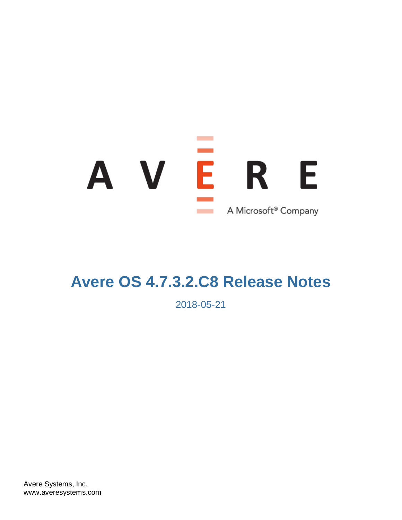# AVE - E R A Microsoft<sup>®</sup> Company

# **Avere OS 4.7.3.2.C8 Release Notes**

2018-05-21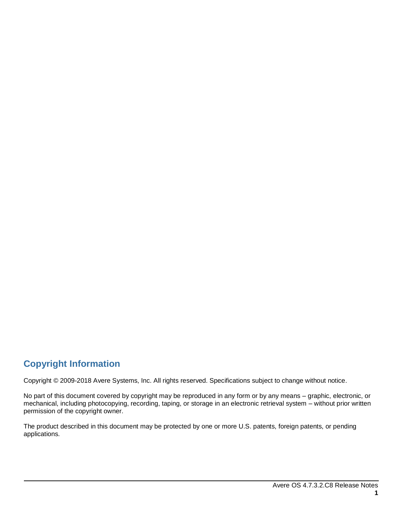### **Copyright Information**

Copyright © 2009-2018 Avere Systems, Inc. All rights reserved. Specifications subject to change without notice.

No part of this document covered by copyright may be reproduced in any form or by any means – graphic, electronic, or mechanical, including photocopying, recording, taping, or storage in an electronic retrieval system – without prior written permission of the copyright owner.

The product described in this document may be protected by one or more U.S. patents, foreign patents, or pending applications.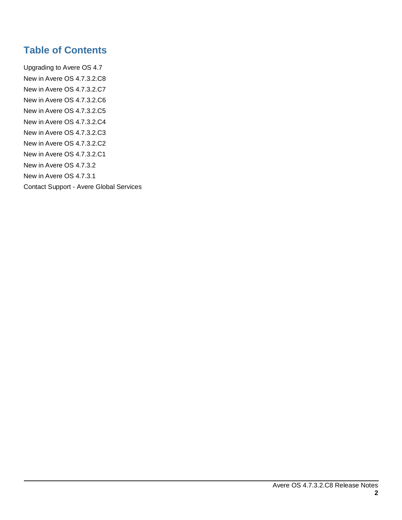### **Table of Contents**

[Upgrading to Avere OS 4.7](#page-3-0) [New in Avere OS 4.7.3.2.C8](#page-4-0) [New in Avere OS 4.7.3.2.C7](#page-4-1) [New in Avere OS 4.7.3.2.C6](#page-5-0) [New in Avere OS 4.7.3.2.C5](#page-5-1) [New in Avere OS 4.7.3.2.C4](#page-6-0) [New in Avere OS 4.7.3.2.C3](#page-7-0) [New in Avere OS 4.7.3.2.C2](#page-7-1) [New in Avere OS 4.7.3.2.C1](#page-8-0) [New in Avere OS 4.7.3.2](#page-8-1) [New in Avere OS 4.7.3.1](#page-11-0) Contact Support - [Avere Global Services](#page-21-0)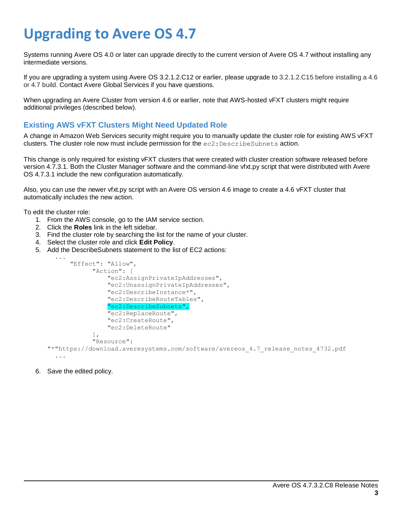# <span id="page-3-0"></span>**Upgrading to Avere OS 4.7**

Systems running Avere OS 4.0 or later can upgrade directly to the current version of Avere OS 4.7 without installing any intermediate versions.

If you are upgrading a system using Avere OS 3.2.1.2.C12 or earlier, please upgrade to 3.2.1.2.C15 before installing a 4.6 or 4.7 build. Contact Avere Global Services if you have questions.

When upgrading an Avere Cluster from version 4.6 or earlier, note that AWS-hosted vFXT clusters might require additional privileges (described below).

#### **Existing AWS vFXT Clusters Might Need Updated Role**

A change in Amazon Web Services security might require you to manually update the cluster role for existing AWS vFXT clusters. The cluster role now must include permission for the  $ec2$ : DescribeSubnets action.

This change is only required for existing vFXT clusters that were created with cluster creation software released before version 4.7.3.1. Both the Cluster Manager software and the command-line vfxt.py script that were distributed with Avere OS 4.7.3.1 include the new configuration automatically.

Also, you can use the newer vfxt.py script with an Avere OS version 4.6 image to create a 4.6 vFXT cluster that automatically includes the new action.

To edit the cluster role:

- 1. From the AWS console, go to the IAM service section.
- 2. Click the **Roles** link in the left sidebar.
- 3. Find the cluster role by searching the list for the name of your cluster.
- 4. Select the cluster role and click **Edit Policy**.
- 5. Add the DescribeSubnets statement to the list of EC2 actions:



6. Save the edited policy.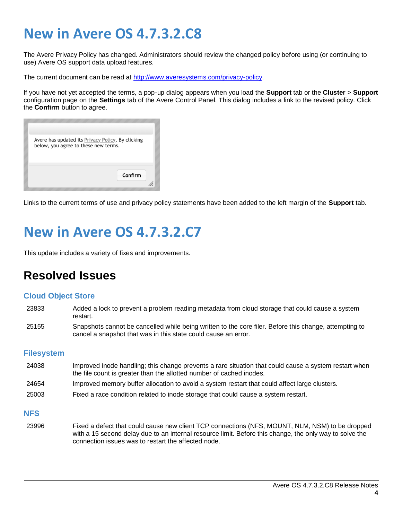# <span id="page-4-0"></span>**New in Avere OS 4.7.3.2.C8**

<span id="page-4-1"></span>The Avere Privacy Policy has changed. Administrators should review the changed policy before using (or continuing to use) Avere OS support data upload features.

The current document can be read at [http://www.averesystems.com/privacy-policy.](http://www.averesystems.com/privacy-policy)

If you have not yet accepted the terms, a pop-up dialog appears when you load the **Support** tab or the **Cluster** > **Support** configuration page on the **Settings** tab of the Avere Control Panel. This dialog includes a link to the revised policy. Click the **Confirm** button to agree.

| Avere has updated its <b>Privacy Policy</b> . By clicking<br>below, you agree to these new terms. |  |
|---------------------------------------------------------------------------------------------------|--|
| Confirm                                                                                           |  |

Links to the current terms of use and privacy policy statements have been added to the left margin of the **Support** tab.

## **New in Avere OS 4.7.3.2.C7**

This update includes a variety of fixes and improvements.

### **Resolved Issues**

#### **Cloud Object Store**

- 23833 Added a lock to prevent a problem reading metadata from cloud storage that could cause a system restart.
- 25155 Snapshots cannot be cancelled while being written to the core filer. Before this change, attempting to cancel a snapshot that was in this state could cause an error.

#### **Filesystem**

- 24038 Improved inode handling; this change prevents a rare situation that could cause a system restart when the file count is greater than the allotted number of cached inodes.
- 24654 Improved memory buffer allocation to avoid a system restart that could affect large clusters.
- 25003 Fixed a race condition related to inode storage that could cause a system restart.

#### **NFS**

23996 Fixed a defect that could cause new client TCP connections (NFS, MOUNT, NLM, NSM) to be dropped with a 15 second delay due to an internal resource limit. Before this change, the only way to solve the connection issues was to restart the affected node.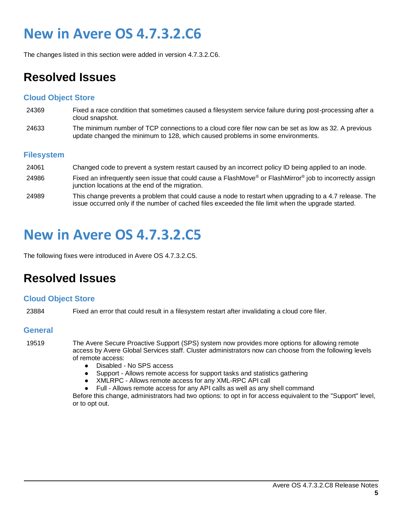# <span id="page-5-0"></span>**New in Avere OS 4.7.3.2.C6**

The changes listed in this section were added in version 4.7.3.2.C6.

### **Resolved Issues**

#### **Cloud Object Store**

- 24369 Fixed a race condition that sometimes caused a filesystem service failure during post-processing after a cloud snapshot.
- 24633 The minimum number of TCP connections to a cloud core filer now can be set as low as 32. A previous update changed the minimum to 128, which caused problems in some environments.

#### **Filesystem**

24061 Changed code to prevent a system restart caused by an incorrect policy ID being applied to an inode. 24986 Fixed an infrequently seen issue that could cause a FlashMove® or FlashMirror® job to incorrectly assign junction locations at the end of the migration. 24989 This change prevents a problem that could cause a node to restart when upgrading to a 4.7 release. The issue occurred only if the number of cached files exceeded the file limit when the upgrade started.

## <span id="page-5-1"></span>**New in Avere OS 4.7.3.2.C5**

The following fixes were introduced in Avere OS 4.7.3.2.C5.

### **Resolved Issues**

#### **Cloud Object Store**

23884 Fixed an error that could result in a filesystem restart after invalidating a cloud core filer.

#### **General**

19519 The Avere Secure Proactive Support (SPS) system now provides more options for allowing remote access by Avere Global Services staff. Cluster administrators now can choose from the following levels of remote access:

- Disabled No SPS access
- Support Allows remote access for support tasks and statistics gathering
- XMLRPC Allows remote access for any XML-RPC API call
- Full Allows remote access for any API calls as well as any shell command

Before this change, administrators had two options: to opt in for access equivalent to the "Support" level, or to opt out.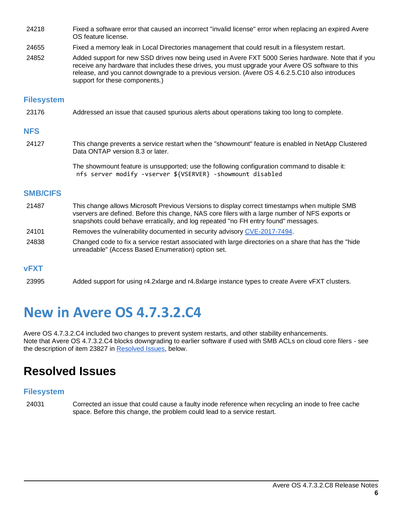- 24218 Fixed a software error that caused an incorrect "invalid license" error when replacing an expired Avere OS feature license.
- 24655 Fixed a memory leak in Local Directories management that could result in a filesystem restart.
- 24852 Added support for new SSD drives now being used in Avere FXT 5000 Series hardware. Note that if you receive any hardware that includes these drives, you must upgrade your Avere OS software to this release, and you cannot downgrade to a previous version. (Avere OS 4.6.2.5.C10 also introduces support for these components.)

#### **Filesystem**

23176 Addressed an issue that caused spurious alerts about operations taking too long to complete.

#### **NFS**

24127 This change prevents a service restart when the "showmount" feature is enabled in NetApp Clustered Data ONTAP version 8.3 or later.

> The showmount feature is unsupported; use the following configuration command to disable it: nfs server modify -vserver \${VSERVER} -showmount disabled

#### **SMB/CIFS**

- 21487 This change allows Microsoft Previous Versions to display correct timestamps when multiple SMB vservers are defined. Before this change, NAS core filers with a large number of NFS exports or snapshots could behave erratically, and log repeated "no FH entry found" messages.
- 24101 Removes the vulnerability documented in security advisory [CVE-2017-7494.](https://nvd.nist.gov/vuln/detail/CVE-2017-7494)
- 24838 Changed code to fix a service restart associated with large directories on a share that has the "hide unreadable" (Access Based Enumeration) option set.

#### **vFXT**

<span id="page-6-0"></span>23995 Added support for using r4.2xlarge and r4.8xlarge instance types to create Avere vFXT clusters.

## **New in Avere OS 4.7.3.2.C4**

Avere OS 4.7.3.2.C4 included two changes to prevent system restarts, and other stability enhancements. Note that Avere OS 4.7.3.2.C4 blocks downgrading to earlier software if used with SMB ACLs on cloud core filers - see the description of item 23827 in [Resolved Issues,](#page-6-1) below.

### <span id="page-6-1"></span>**Resolved Issues**

#### **Filesystem**

24031 Corrected an issue that could cause a faulty inode reference when recycling an inode to free cache space. Before this change, the problem could lead to a service restart.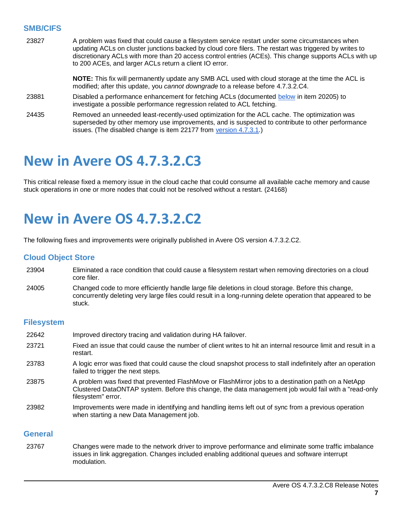#### **SMB/CIFS**

| 23827 | A problem was fixed that could cause a filesystem service restart under some circumstances when<br>updating ACLs on cluster junctions backed by cloud core filers. The restart was triggered by writes to<br>discretionary ACLs with more than 20 access control entries (ACEs). This change supports ACLs with up<br>to 200 ACEs, and larger ACLs return a client IO error. |  |  |  |  |
|-------|------------------------------------------------------------------------------------------------------------------------------------------------------------------------------------------------------------------------------------------------------------------------------------------------------------------------------------------------------------------------------|--|--|--|--|
|       | NOTE: This fix will permanently update any SMB ACL used with cloud storage at the time the ACL is<br>modified; after this update, you cannot downgrade to a release before 4.7.3.2.C4.                                                                                                                                                                                       |  |  |  |  |
| 23881 | Disabled a performance enhancement for fetching ACLs (documented below in item 20205) to<br>investigate a possible performance regression related to ACL fetching.                                                                                                                                                                                                           |  |  |  |  |
| 24435 | Removed an unneeded least-recently-used optimization for the ACL cache. The optimization was<br>superseded by other memory use improvements, and is suspected to contribute to other performance<br>issues. (The disabled change is item 22177 from version 4.7.3.1.)                                                                                                        |  |  |  |  |

## <span id="page-7-0"></span>**New in Avere OS 4.7.3.2.C3**

<span id="page-7-1"></span>This critical release fixed a memory issue in the cloud cache that could consume all available cache memory and cause stuck operations in one or more nodes that could not be resolved without a restart. (24168)

## **New in Avere OS 4.7.3.2.C2**

The following fixes and improvements were originally published in Avere OS version 4.7.3.2.C2.

#### **Cloud Object Store**

- 23904 Eliminated a race condition that could cause a filesystem restart when removing directories on a cloud core filer.
- 24005 Changed code to more efficiently handle large file deletions in cloud storage. Before this change, concurrently deleting very large files could result in a long-running delete operation that appeared to be stuck.

#### **Filesystem**

| 22642 | Improved directory tracing and validation during HA failover.                                                                                                                                                                    |
|-------|----------------------------------------------------------------------------------------------------------------------------------------------------------------------------------------------------------------------------------|
| 23721 | Fixed an issue that could cause the number of client writes to hit an internal resource limit and result in a<br>restart.                                                                                                        |
| 23783 | A logic error was fixed that could cause the cloud snapshot process to stall indefinitely after an operation<br>failed to trigger the next steps.                                                                                |
| 23875 | A problem was fixed that prevented FlashMove or FlashMirror jobs to a destination path on a NetApp<br>Clustered DataONTAP system. Before this change, the data management job would fail with a "read-only<br>filesystem" error. |
| 23982 | Improvements were made in identifying and handling items left out of sync from a previous operation<br>when starting a new Data Management job.                                                                                  |

#### **General**

23767 Changes were made to the network driver to improve performance and eliminate some traffic imbalance issues in link aggregation. Changes included enabling additional queues and software interrupt modulation.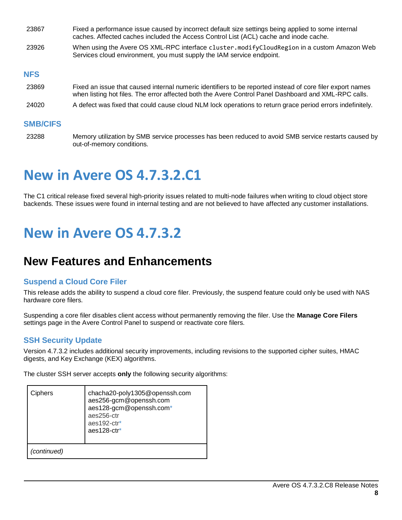| 23867           | Fixed a performance issue caused by incorrect default size settings being applied to some internal<br>caches. Affected caches included the Access Control List (ACL) cache and inode cache.                       |
|-----------------|-------------------------------------------------------------------------------------------------------------------------------------------------------------------------------------------------------------------|
| 23926           | When using the Avere OS XML-RPC interface cluster.modifyCloudRegion in a custom Amazon Web<br>Services cloud environment, you must supply the IAM service endpoint.                                               |
| <b>NFS</b>      |                                                                                                                                                                                                                   |
| 23869           | Fixed an issue that caused internal numeric identifiers to be reported instead of core filer export names<br>when listing hot files. The error affected both the Avere Control Panel Dashboard and XML-RPC calls. |
| 24020           | A defect was fixed that could cause cloud NLM lock operations to return grace period errors indefinitely.                                                                                                         |
| <b>SMB/CIFS</b> |                                                                                                                                                                                                                   |
|                 |                                                                                                                                                                                                                   |

<span id="page-8-0"></span>23288 Memory utilization by SMB service processes has been reduced to avoid SMB service restarts caused by out-of-memory conditions.

# **New in Avere OS 4.7.3.2.C1**

<span id="page-8-1"></span>The C1 critical release fixed several high-priority issues related to multi-node failures when writing to cloud object store backends. These issues were found in internal testing and are not believed to have affected any customer installations.

## **New in Avere OS 4.7.3.2**

## **New Features and Enhancements**

#### **Suspend a Cloud Core Filer**

This release adds the ability to suspend a cloud core filer. Previously, the suspend feature could only be used with NAS hardware core filers.

Suspending a core filer disables client access without permanently removing the filer. Use the **Manage Core Filers** settings page in the Avere Control Panel to suspend or reactivate core filers.

#### <span id="page-8-2"></span>**SSH Security Update**

Version 4.7.3.2 includes additional security improvements, including revisions to the supported cipher suites, HMAC digests, and Key Exchange (KEX) algorithms.

The cluster SSH server accepts **only** the following security algorithms:

| Ciphers     | chacha20-poly1305@openssh.com<br>aes256-gcm@openssh.com<br>aes128-gcm@openssh.com*<br>aes256-ctr<br>aes192-ctr*<br>$a$ es 128-ctr $*$ |  |
|-------------|---------------------------------------------------------------------------------------------------------------------------------------|--|
| (continued) |                                                                                                                                       |  |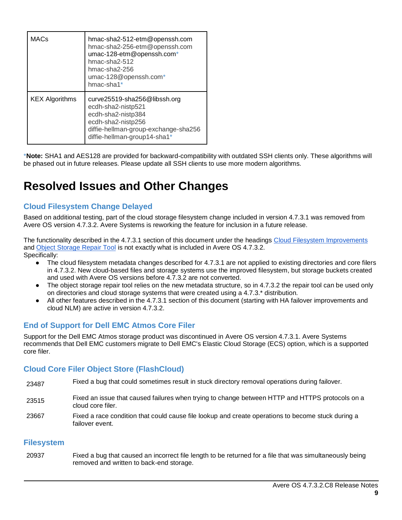| <b>MACs</b>           | hmac-sha2-512-etm@openssh.com<br>hmac-sha2-256-etm@openssh.com<br>umac-128-etm@openssh.com*<br>hmac-sha $2-512$<br>hmac-sha $2-256$<br>umac-128@openssh.com*<br>hmac-sha1* |
|-----------------------|----------------------------------------------------------------------------------------------------------------------------------------------------------------------------|
| <b>KEX Algorithms</b> | curve25519-sha256@libssh.org<br>ecdh-sha2-nistp521<br>ecdh-sha2-nistp384<br>ecdh-sha2-nistp256<br>diffie-hellman-group-exchange-sha256<br>diffie-hellman-group14-sha1*     |

\***Note:** SHA1 and AES128 are provided for backward-compatibility with outdated SSH clients only. These algorithms will be phased out in future releases. Please update all SSH clients to use more modern algorithms.

### **Resolved Issues and Other Changes**

#### **Cloud Filesystem Change Delayed**

Based on additional testing, part of the cloud storage filesystem change included in version 4.7.3.1 was removed from Avere OS version 4.7.3.2. Avere Systems is reworking the feature for inclusion in a future release.

The functionality described in the 4.7.3.1 section of this document under the headings [Cloud Filesystem Improvements](#page-11-2) and [Object Storage Repair Tool](#page-12-0) is not exactly what is included in Avere OS 4.7.3.2. Specifically:

- The cloud filesystem metadata changes described for 4.7.3.1 are not applied to existing directories and core filers in 4.7.3.2. New cloud-based files and storage systems use the improved filesystem, but storage buckets created and used with Avere OS versions before 4.7.3.2 are not converted.
- The object storage repair tool relies on the new metadata structure, so in 4.7.3.2 the repair tool can be used only on directories and cloud storage systems that were created using a 4.7.3.\* distribution.
- All other features described in the 4.7.3.1 section of this document (starting with HA failover improvements and cloud NLM) are active in version 4.7.3.2.

#### **End of Support for Dell EMC Atmos Core Filer**

Support for the Dell EMC Atmos storage product was discontinued in Avere OS version 4.7.3.1. Avere Systems recommends that Dell EMC customers migrate to Dell EMC's Elastic Cloud Storage (ECS) option, which is a supported core filer.

#### **Cloud Core Filer Object Store (FlashCloud)**

- 23487 Fixed a bug that could sometimes result in stuck directory removal operations during failover.
- 23515 Fixed an issue that caused failures when trying to change between HTTP and HTTPS protocols on a cloud core filer.
- 23667 Fixed a race condition that could cause file lookup and create operations to become stuck during a failover event.

#### **Filesystem**

20937 Fixed a bug that caused an incorrect file length to be returned for a file that was simultaneously being removed and written to back-end storage.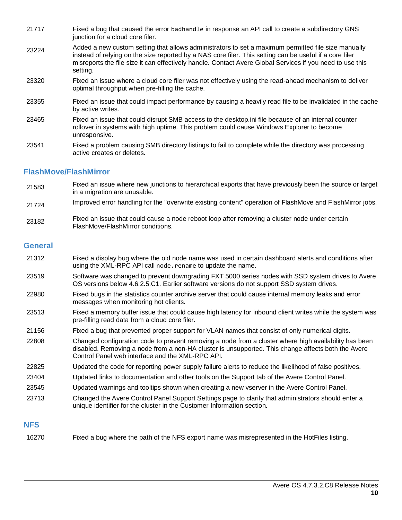- 21717 Fixed a bug that caused the error badhandle in response an API call to create a subdirectory GNS junction for a cloud core filer.
- 23224 Added a new custom setting that allows administrators to set a maximum permitted file size manually instead of relying on the size reported by a NAS core filer. This setting can be useful if a core filer misreports the file size it can effectively handle. Contact Avere Global Services if you need to use this setting.
- 23320 Fixed an issue where a cloud core filer was not effectively using the read-ahead mechanism to deliver optimal throughput when pre-filling the cache.
- 23355 Fixed an issue that could impact performance by causing a heavily read file to be invalidated in the cache by active writes.
- 23465 Fixed an issue that could disrupt SMB access to the desktop.ini file because of an internal counter rollover in systems with high uptime. This problem could cause Windows Explorer to become unresponsive.
- 23541 Fixed a problem causing SMB directory listings to fail to complete while the directory was processing active creates or deletes.

#### **FlashMove/FlashMirror**

- 21583 Fixed an issue where new junctions to hierarchical exports that have previously been the source or target in a migration are unusable.
- 21724 Improved error handling for the "overwrite existing content" operation of FlashMove and FlashMirror jobs.
- 23182 Fixed an issue that could cause a node reboot loop after removing a cluster node under certain FlashMove/FlashMirror conditions.

#### **General**

- 21312 Fixed a display bug where the old node name was used in certain dashboard alerts and conditions after using the XML-RPC API call node.rename to update the name.
- 23519 Software was changed to prevent downgrading FXT 5000 series nodes with SSD system drives to Avere OS versions below 4.6.2.5.C1. Earlier software versions do not support SSD system drives.
- 22980 Fixed bugs in the statistics counter archive server that could cause internal memory leaks and error messages when monitoring hot clients.
- 23513 Fixed a memory buffer issue that could cause high latency for inbound client writes while the system was pre-filling read data from a cloud core filer.
- 21156 Fixed a bug that prevented proper support for VLAN names that consist of only numerical digits.
- 22808 Changed configuration code to prevent removing a node from a cluster where high availability has been disabled. Removing a node from a non-HA cluster is unsupported. This change affects both the Avere Control Panel web interface and the XML-RPC API.
- 22825 Updated the code for reporting power supply failure alerts to reduce the likelihood of false positives.
- 23404 Updated links to documentation and other tools on the Support tab of the Avere Control Panel.
- 23545 Updated warnings and tooltips shown when creating a new vserver in the Avere Control Panel.
- 23713 Changed the Avere Control Panel Support Settings page to clarify that administrators should enter a unique identifier for the cluster in the Customer Information section.

#### **NFS**

16270 Fixed a bug where the path of the NFS export name was misrepresented in the HotFiles listing.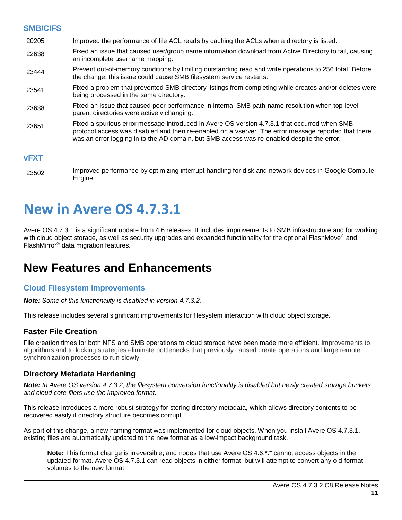#### <span id="page-11-1"></span>**SMB/CIFS**

- 20205 Improved the performance of file ACL reads by caching the ACLs when a directory is listed.
- 22638 Fixed an issue that caused user/group name information download from Active Directory to fail, causing an incomplete username mapping.
- 23444 Prevent out-of-memory conditions by limiting outstanding read and write operations to 256 total. Before the change, this issue could cause SMB filesystem service restarts.
- 23541 Fixed a problem that prevented SMB directory listings from completing while creates and/or deletes were being processed in the same directory.
- 23638 Fixed an issue that caused poor performance in internal SMB path-name resolution when top-level parent directories were actively changing.
- 23651 Fixed a spurious error message introduced in Avere OS version 4.7.3.1 that occurred when SMB protocol access was disabled and then re-enabled on a vserver. The error message reported that there was an error logging in to the AD domain, but SMB access was re-enabled despite the error.

#### **vFXT**

<span id="page-11-0"></span>23502 Improved performance by optimizing interrupt handling for disk and network devices in Google Compute Engine.

## **New in Avere OS 4.7.3.1**

Avere OS 4.7.3.1 is a significant update from 4.6 releases. It includes improvements to SMB infrastructure and for working with cloud object storage, as well as security upgrades and expanded functionality for the optional FlashMove<sup>®</sup> and FlashMirror® data migration features.

### **New Features and Enhancements**

#### <span id="page-11-2"></span>**Cloud Filesystem Improvements**

*Note: Some of this functionality is disabled in version 4.7.3.2.* 

This release includes several significant improvements for filesystem interaction with cloud object storage.

#### **Faster File Creation**

File creation times for both NFS and SMB operations to cloud storage have been made more efficient. Improvements to algorithms and to locking strategies eliminate bottlenecks that previously caused create operations and large remote synchronization processes to run slowly.

#### **Directory Metadata Hardening**

*Note: In Avere OS version 4.7.3.2, the filesystem conversion functionality is disabled but newly created storage buckets and cloud core filers use the improved format.* 

This release introduces a more robust strategy for storing directory metadata, which allows directory contents to be recovered easily if directory structure becomes corrupt.

As part of this change, a new naming format was implemented for cloud objects. When you install Avere OS 4.7.3.1, existing files are automatically updated to the new format as a low-impact background task.

**Note:** This format change is irreversible, and nodes that use Avere OS 4.6.\*.\* cannot access objects in the updated format. Avere OS 4.7.3.1 can read objects in either format, but will attempt to convert any old-format volumes to the new format.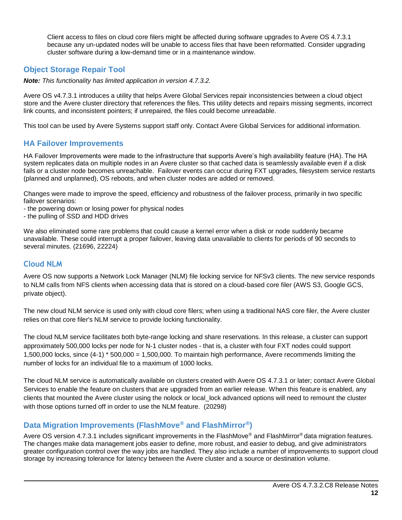<span id="page-12-0"></span>Client access to files on cloud core filers might be affected during software upgrades to Avere OS 4.7.3.1 because any un-updated nodes will be unable to access files that have been reformatted. Consider upgrading cluster software during a low-demand time or in a maintenance window.

#### **Object Storage Repair Tool**

*Note: This functionality has limited application in version 4.7.3.2.* 

Avere OS v4.7.3.1 introduces a utility that helps Avere Global Services repair inconsistencies between a cloud object store and the Avere cluster directory that references the files. This utility detects and repairs missing segments, incorrect link counts, and inconsistent pointers; if unrepaired, the files could become unreadable.

This tool can be used by Avere Systems support staff only. Contact Avere Global Services for additional information.

#### **HA Failover Improvements**

HA Failover Improvements were made to the infrastructure that supports Avere's high availability feature (HA). The HA system replicates data on multiple nodes in an Avere cluster so that cached data is seamlessly available even if a disk fails or a cluster node becomes unreachable. Failover events can occur during FXT upgrades, filesystem service restarts (planned and unplanned), OS reboots, and when cluster nodes are added or removed.

Changes were made to improve the speed, efficiency and robustness of the failover process, primarily in two specific failover scenarios:

- the powering down or losing power for physical nodes
- the pulling of SSD and HDD drives

We also eliminated some rare problems that could cause a kernel error when a disk or node suddenly became unavailable. These could interrupt a proper failover, leaving data unavailable to clients for periods of 90 seconds to several minutes. (21696, 22224)

#### **Cloud NLM**

Avere OS now supports a Network Lock Manager (NLM) file locking service for NFSv3 clients. The new service responds to NLM calls from NFS clients when accessing data that is stored on a cloud-based core filer (AWS S3, Google GCS, private object).

The new cloud NLM service is used only with cloud core filers; when using a traditional NAS core filer, the Avere cluster relies on that core filer's NLM service to provide locking functionality.

The cloud NLM service facilitates both byte-range locking and share reservations. In this release, a cluster can support approximately 500,000 locks per node for N-1 cluster nodes - that is, a cluster with four FXT nodes could support 1,500,000 locks, since (4-1) \* 500,000 = 1,500,000. To maintain high performance, Avere recommends limiting the number of locks for an individual file to a maximum of 1000 locks.

The cloud NLM service is automatically available on clusters created with Avere OS 4.7.3.1 or later; contact Avere Global Services to enable the feature on clusters that are upgraded from an earlier release. When this feature is enabled, any clients that mounted the Avere cluster using the nolock or local\_lock advanced options will need to remount the cluster with those options turned off in order to use the NLM feature. (20298)

#### **Data Migration Improvements (FlashMove® and FlashMirror®)**

Avere OS version 4.7.3.1 includes significant improvements in the FlashMove<sup>®</sup> and FlashMirror<sup>®</sup> data migration features. The changes make data management jobs easier to define, more robust, and easier to debug, and give administrators greater configuration control over the way jobs are handled. They also include a number of improvements to support cloud storage by increasing tolerance for latency between the Avere cluster and a source or destination volume.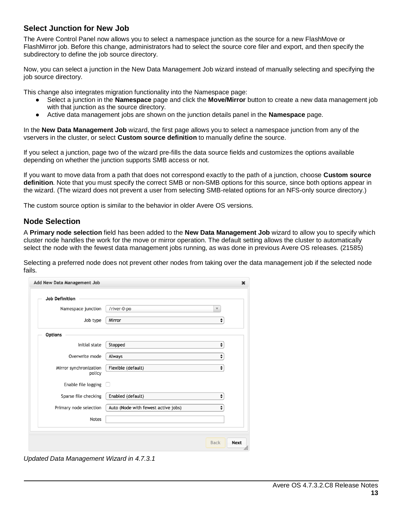#### **Select Junction for New Job**

The Avere Control Panel now allows you to select a namespace junction as the source for a new FlashMove or FlashMirror job. Before this change, administrators had to select the source core filer and export, and then specify the subdirectory to define the job source directory.

Now, you can select a junction in the New Data Management Job wizard instead of manually selecting and specifying the job source directory.

This change also integrates migration functionality into the Namespace page:

- Select a junction in the **Namespace** page and click the **Move/Mirror** button to create a new data management job with that junction as the source directory.
- Active data management jobs are shown on the junction details panel in the **Namespace** page.

In the **New Data Management Job** wizard, the first page allows you to select a namespace junction from any of the vservers in the cluster, or select **Custom source definition** to manually define the source.

If you select a junction, page two of the wizard pre-fills the data source fields and customizes the options available depending on whether the junction supports SMB access or not.

If you want to move data from a path that does not correspond exactly to the path of a junction, choose **Custom source definition**. Note that you must specify the correct SMB or non-SMB options for this source, since both options appear in the wizard. (The wizard does not prevent a user from selecting SMB-related options for an NFS-only source directory.)

The custom source option is similar to the behavior in older Avere OS versions.

#### **Node Selection**

A **Primary node selection** field has been added to the **New Data Management Job** wizard to allow you to specify which cluster node handles the work for the move or mirror operation. The default setting allows the cluster to automatically select the node with the fewest data management jobs running, as was done in previous Avere OS releases. (21585)

Selecting a preferred node does not prevent other nodes from taking over the data management job if the selected node fails.

| Add New Data Management Job      |                                     | ×                                 |
|----------------------------------|-------------------------------------|-----------------------------------|
| <b>Job Definition</b>            |                                     |                                   |
| Namespace junction               | /river-0-po                         | v                                 |
| Job type                         | Mirror                              | ÷                                 |
| <b>Options</b>                   |                                     |                                   |
| Initial state                    | Stopped                             | ÷                                 |
| Overwrite mode                   | Always                              | $\div$                            |
| Mirror synchronization<br>policy | Flexible (default)                  | ÷                                 |
| Enable file logging              |                                     |                                   |
| Sparse file checking             | Enabled (default)                   | ÷                                 |
| Primary node selection           | Auto (Node with fewest active jobs) | $\div$                            |
| Notes                            |                                     |                                   |
|                                  |                                     |                                   |
|                                  |                                     | <b>Next</b><br><b>Back</b><br>11, |

*Updated Data Management Wizard in 4.7.3.1*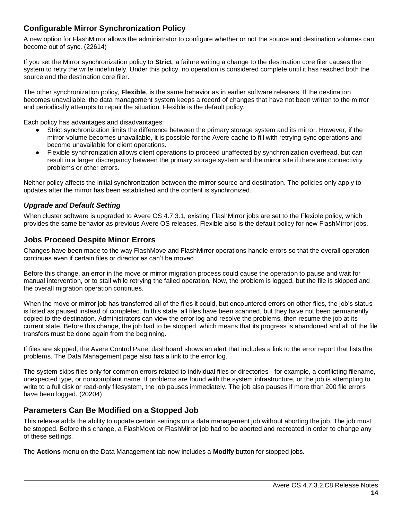#### **Configurable Mirror Synchronization Policy**

A new option for FlashMirror allows the administrator to configure whether or not the source and destination volumes can become out of sync. (22614)

If you set the Mirror synchronization policy to **Strict**, a failure writing a change to the destination core filer causes the system to retry the write indefinitely. Under this policy, no operation is considered complete until it has reached both the source and the destination core filer.

The other synchronization policy, **Flexible**, is the same behavior as in earlier software releases. If the destination becomes unavailable, the data management system keeps a record of changes that have not been written to the mirror and periodically attempts to repair the situation. Flexible is the default policy.

Each policy has advantages and disadvantages:

- Strict synchronization limits the difference between the primary storage system and its mirror. However, if the mirror volume becomes unavailable, it is possible for the Avere cache to fill with retrying sync operations and become unavailable for client operations.
- Flexible synchronization allows client operations to proceed unaffected by synchronization overhead, but can result in a larger discrepancy between the primary storage system and the mirror site if there are connectivity problems or other errors.

Neither policy affects the initial synchronization between the mirror source and destination. The policies only apply to updates after the mirror has been established and the content is synchronized.

#### *Upgrade and Default Setting*

When cluster software is upgraded to Avere OS 4.7.3.1, existing FlashMirror jobs are set to the Flexible policy, which provides the same behavior as previous Avere OS releases. Flexible also is the default policy for new FlashMirror jobs.

#### **Jobs Proceed Despite Minor Errors**

Changes have been made to the way FlashMove and FlashMirror operations handle errors so that the overall operation continues even if certain files or directories can't be moved.

Before this change, an error in the move or mirror migration process could cause the operation to pause and wait for manual intervention, or to stall while retrying the failed operation. Now, the problem is logged, but the file is skipped and the overall migration operation continues.

When the move or mirror job has transferred all of the files it could, but encountered errors on other files, the job's status is listed as paused instead of completed. In this state, all files have been scanned, but they have not been permanently copied to the destination. Administrators can view the error log and resolve the problems, then resume the job at its current state. Before this change, the job had to be stopped, which means that its progress is abandoned and all of the file transfers must be done again from the beginning.

If files are skipped, the Avere Control Panel dashboard shows an alert that includes a link to the error report that lists the problems. The Data Management page also has a link to the error log.

The system skips files only for common errors related to individual files or directories - for example, a conflicting filename, unexpected type, or noncompliant name. If problems are found with the system infrastructure, or the job is attempting to write to a full disk or read-only filesystem, the job pauses immediately. The job also pauses if more than 200 file errors have been logged. (20204)

#### **Parameters Can Be Modified on a Stopped Job**

This release adds the ability to update certain settings on a data management job without aborting the job. The job must be stopped. Before this change, a FlashMove or FlashMirror job had to be aborted and recreated in order to change any of these settings.

The **Actions** menu on the Data Management tab now includes a **Modify** button for stopped jobs.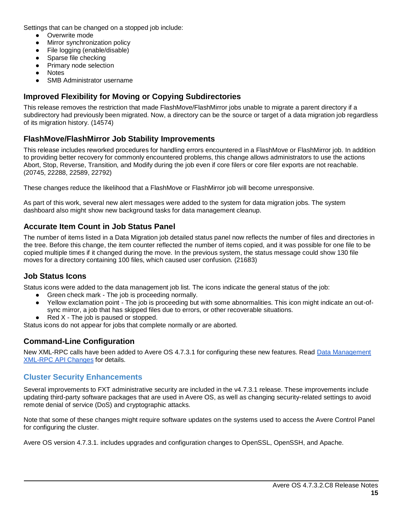Settings that can be changed on a stopped job include:

- Overwrite mode
- Mirror synchronization policy
- File logging (enable/disable)
- Sparse file checking
- Primary node selection
- **Notes**
- **SMB Administrator username**

#### **Improved Flexibility for Moving or Copying Subdirectories**

This release removes the restriction that made FlashMove/FlashMirror jobs unable to migrate a parent directory if a subdirectory had previously been migrated. Now, a directory can be the source or target of a data migration job regardless of its migration history. (14574)

#### **FlashMove/FlashMirror Job Stability Improvements**

This release includes reworked procedures for handling errors encountered in a FlashMove or FlashMirror job. In addition to providing better recovery for commonly encountered problems, this change allows administrators to use the actions Abort, Stop, Reverse, Transition, and Modify during the job even if core filers or core filer exports are not reachable. (20745, 22288, 22589, 22792)

These changes reduce the likelihood that a FlashMove or FlashMirror job will become unresponsive.

As part of this work, several new alert messages were added to the system for data migration jobs. The system dashboard also might show new background tasks for data management cleanup.

#### **Accurate Item Count in Job Status Panel**

The number of items listed in a Data Migration job detailed status panel now reflects the number of files and directories in the tree. Before this change, the item counter reflected the number of items copied, and it was possible for one file to be copied multiple times if it changed during the move. In the previous system, the status message could show 130 file moves for a directory containing 100 files, which caused user confusion. (21683)

#### **Job Status Icons**

Status icons were added to the data management job list. The icons indicate the general status of the job:

- Green check mark The job is proceeding normally.
- Yellow exclamation point The job is proceeding but with some abnormalities. This icon might indicate an out-ofsync mirror, a job that has skipped files due to errors, or other recoverable situations.
- $Red X The job is passed or stopped.$

Status icons do not appear for jobs that complete normally or are aborted.

#### **Command-Line Configuration**

New XML-RPC calls have been added to Avere OS 4.7.3.1 for configuring these new features. Read [Data Management](#page-18-0)  [XML-RPC API Changes](#page-18-0) for details.

#### **Cluster Security Enhancements**

Several improvements to FXT administrative security are included in the v4.7.3.1 release. These improvements include updating third-party software packages that are used in Avere OS, as well as changing security-related settings to avoid remote denial of service (DoS) and cryptographic attacks.

Note that some of these changes might require software updates on the systems used to access the Avere Control Panel for configuring the cluster.

Avere OS version 4.7.3.1. includes upgrades and configuration changes to OpenSSL, OpenSSH, and Apache.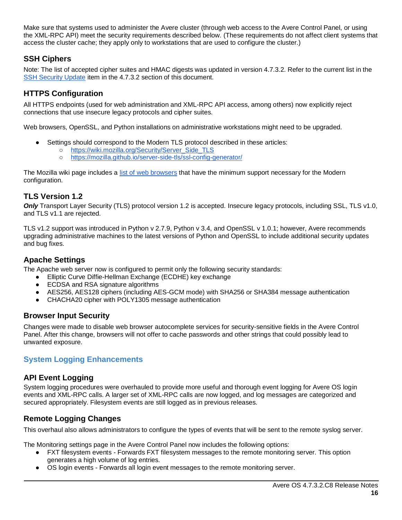Make sure that systems used to administer the Avere cluster (through web access to the Avere Control Panel, or using the XML-RPC API) meet the security requirements described below. (These requirements do not affect client systems that access the cluster cache; they apply only to workstations that are used to configure the cluster.)

#### **SSH Ciphers**

Note: The list of accepted cipher suites and HMAC digests was updated in version 4.7.3.2. Refer to the current list in the [SSH Security Update](#page-8-2) item in the 4.7.3.2 section of this document.

#### **HTTPS Configuration**

All HTTPS endpoints (used for web administration and XML-RPC API access, among others) now explicitly reject connections that use insecure legacy protocols and cipher suites.

Web browsers, OpenSSL, and Python installations on administrative workstations might need to be upgraded.

- Settings should correspond to the Modern TLS protocol described in these articles:
	- o [https://wiki.mozilla.org/Security/Server\\_Side\\_TLS](https://wiki.mozilla.org/Security/Server_Side_TLS)
	- <https://mozilla.github.io/server-side-tls/ssl-config-generator/>

The Mozilla wiki page includes a [list of web browsers](https://wiki.mozilla.org/Security/Server_Side_TLS#Recommended_configurations) that have the minimum support necessary for the Modern configuration.

#### **TLS Version 1.2**

*Only* Transport Layer Security (TLS) protocol version 1.2 is accepted. Insecure legacy protocols, including SSL, TLS v1.0, and TLS v1.1 are rejected.

TLS v1.2 support was introduced in Python v 2.7.9, Python v 3.4, and OpenSSL v 1.0.1; however, Avere recommends upgrading administrative machines to the latest versions of Python and OpenSSL to include additional security updates and bug fixes.

#### **Apache Settings**

The Apache web server now is configured to permit only the following security standards:

- Elliptic Curve Diffie-Hellman Exchange (ECDHE) key exchange
- ECDSA and RSA signature algorithms
- AES256, AES128 ciphers (including AES-GCM mode) with SHA256 or SHA384 message authentication
- CHACHA20 cipher with POLY1305 message authentication

#### **Browser Input Security**

Changes were made to disable web browser autocomplete services for security-sensitive fields in the Avere Control Panel. After this change, browsers will not offer to cache passwords and other strings that could possibly lead to unwanted exposure.

#### **System Logging Enhancements**

#### **API Event Logging**

System logging procedures were overhauled to provide more useful and thorough event logging for Avere OS login events and XML-RPC calls. A larger set of XML-RPC calls are now logged, and log messages are categorized and secured appropriately. Filesystem events are still logged as in previous releases.

#### **Remote Logging Changes**

This overhaul also allows administrators to configure the types of events that will be sent to the remote syslog server.

The Monitoring settings page in the Avere Control Panel now includes the following options:

- FXT filesystem events Forwards FXT filesystem messages to the remote monitoring server. This option generates a high volume of log entries.
- OS login events Forwards all login event messages to the remote monitoring server.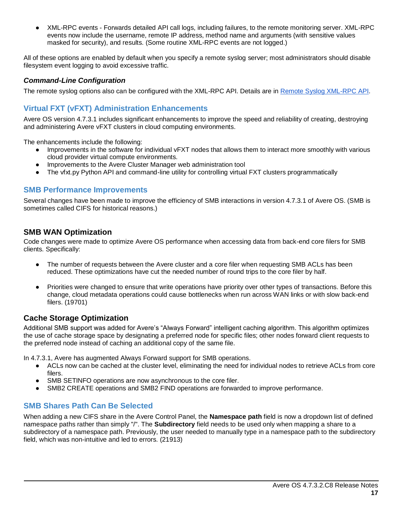XML-RPC events - Forwards detailed API call logs, including failures, to the remote monitoring server. XML-RPC events now include the username, remote IP address, method name and arguments (with sensitive values masked for security), and results. (Some routine XML-RPC events are not logged.)

All of these options are enabled by default when you specify a remote syslog server; most administrators should disable filesystem event logging to avoid excessive traffic.

#### *Command-Line Configuration*

The remote syslog options also can be configured with the XML-RPC API. Details are in [Remote Syslog XML-RPC API.](#page-18-1)

#### **Virtual FXT (vFXT) Administration Enhancements**

Avere OS version 4.7.3.1 includes significant enhancements to improve the speed and reliability of creating, destroying and administering Avere vFXT clusters in cloud computing environments.

The enhancements include the following:

- Improvements in the software for individual vFXT nodes that allows them to interact more smoothly with various cloud provider virtual compute environments.
- Improvements to the Avere Cluster Manager web administration tool
- The vfxt.py Python API and command-line utility for controlling virtual FXT clusters programmatically

#### **SMB Performance Improvements**

Several changes have been made to improve the efficiency of SMB interactions in version 4.7.3.1 of Avere OS. (SMB is sometimes called CIFS for historical reasons.)

#### **SMB WAN Optimization**

Code changes were made to optimize Avere OS performance when accessing data from back-end core filers for SMB clients. Specifically:

- The number of requests between the Avere cluster and a core filer when requesting SMB ACLs has been reduced. These optimizations have cut the needed number of round trips to the core filer by half.
- Priorities were changed to ensure that write operations have priority over other types of transactions. Before this change, cloud metadata operations could cause bottlenecks when run across WAN links or with slow back-end filers. (19701)

#### **Cache Storage Optimization**

Additional SMB support was added for Avere's "Always Forward" intelligent caching algorithm. This algorithm optimizes the use of cache storage space by designating a preferred node for specific files; other nodes forward client requests to the preferred node instead of caching an additional copy of the same file.

In 4.7.3.1, Avere has augmented Always Forward support for SMB operations.

- ACLs now can be cached at the cluster level, eliminating the need for individual nodes to retrieve ACLs from core filers.
- SMB SETINFO operations are now asynchronous to the core filer.
- SMB2 CREATE operations and SMB2 FIND operations are forwarded to improve performance.

#### **SMB Shares Path Can Be Selected**

When adding a new CIFS share in the Avere Control Panel, the **Namespace path** field is now a dropdown list of defined namespace paths rather than simply "/". The **Subdirectory** field needs to be used only when mapping a share to a subdirectory of a namespace path. Previously, the user needed to manually type in a namespace path to the subdirectory field, which was non-intuitive and led to errors. (21913)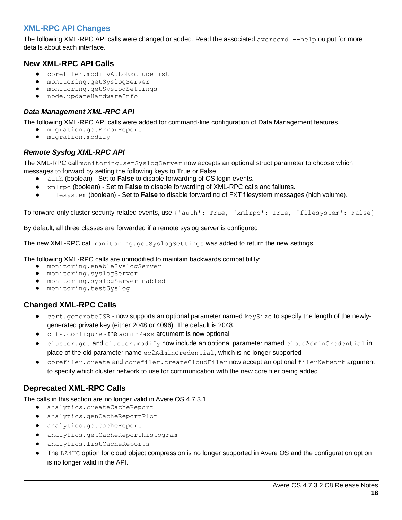#### **XML-RPC API Changes**

The following XML-RPC API calls were changed or added. Read the associated averecmd --help output for more details about each interface.

#### **New XML-RPC API Calls**

- corefiler.modifyAutoExcludeList
- monitoring.getSyslogServer
- monitoring.getSyslogSettings
- node.updateHardwareInfo

#### <span id="page-18-0"></span>*Data Management XML-RPC API*

The following XML-RPC API calls were added for command-line configuration of Data Management features.

- migration.getErrorReport
- migration.modify

#### <span id="page-18-1"></span>*Remote Syslog XML-RPC API*

The XML-RPC call monitoring.setSyslogServer now accepts an optional struct parameter to choose which messages to forward by setting the following keys to True or False:

- auth (boolean) Set to **False** to disable forwarding of OS login events.
- xmlrpc (boolean) Set to **False** to disable forwarding of XML-RPC calls and failures.
- filesystem (boolean) Set to **False** to disable forwarding of FXT filesystem messages (high volume).

To forward only cluster security-related events, use {'auth': True, 'xmlrpc': True, 'filesystem': False}

By default, all three classes are forwarded if a remote syslog server is configured.

The new XML-RPC call monitoring.getSyslogSettings was added to return the new settings.

The following XML-RPC calls are unmodified to maintain backwards compatibility:

- monitoring.enableSyslogServer
- monitoring.syslogServer
- monitoring.syslogServerEnabled
- monitoring.testSyslog

#### **Changed XML-RPC Calls**

- $\bullet$  cert.generateCSR now supports an optional parameter named keySize to specify the length of the newlygenerated private key (either 2048 or 4096). The default is 2048.
- cifs.configure the adminPass argument is now optional
- cluster.get and cluster.modify now include an optional parameter named cloudAdminCredential in place of the old parameter name ec2AdminCredential, which is no longer supported
- corefiler.create and corefiler.createCloudFiler now accept an optional filerNetwork argument to specify which cluster network to use for communication with the new core filer being added

#### **Deprecated XML-RPC Calls**

The calls in this section are no longer valid in Avere OS 4.7.3.1

- analytics.createCacheReport
- analytics.genCacheReportPlot
- analytics.getCacheReport
- analytics.getCacheReportHistogram
- analytics.listCacheReports
- The LZ4HC option for cloud object compression is no longer supported in Avere OS and the configuration option is no longer valid in the API.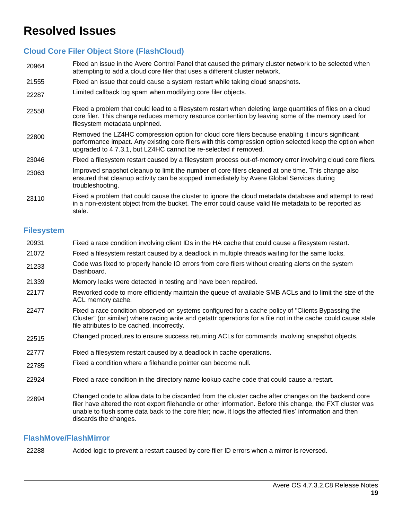## **Resolved Issues**

#### **Cloud Core Filer Object Store (FlashCloud)**

- 20964 Fixed an issue in the Avere Control Panel that caused the primary cluster network to be selected when attempting to add a cloud core filer that uses a different cluster network.
- 21555 Fixed an issue that could cause a system restart while taking cloud snapshots.
- 22287 Limited callback log spam when modifying core filer objects.
- 22558 Fixed a problem that could lead to a filesystem restart when deleting large quantities of files on a cloud core filer. This change reduces memory resource contention by leaving some of the memory used for filesystem metadata unpinned.
- 22800 Removed the LZ4HC compression option for cloud core filers because enabling it incurs significant performance impact. Any existing core filers with this compression option selected keep the option when upgraded to 4.7.3.1, but LZ4HC cannot be re-selected if removed.
- 23046 Fixed a filesystem restart caused by a filesystem process out-of-memory error involving cloud core filers.
- 23063 Improved snapshot cleanup to limit the number of core filers cleaned at one time. This change also ensured that cleanup activity can be stopped immediately by Avere Global Services during troubleshooting.
- 23110 Fixed a problem that could cause the cluster to ignore the cloud metadata database and attempt to read in a non-existent object from the bucket. The error could cause valid file metadata to be reported as stale.

#### **Filesystem**

- 20931 Fixed a race condition involving client IDs in the HA cache that could cause a filesystem restart. 21072 Fixed a filesystem restart caused by a deadlock in multiple threads waiting for the same locks. 21233 Code was fixed to properly handle IO errors from core filers without creating alerts on the system Dashboard. 21339 Memory leaks were detected in testing and have been repaired. 22177 Reworked code to more efficiently maintain the queue of available SMB ACLs and to limit the size of the ACL memory cache. 22477 Fixed a race condition observed on systems configured for a cache policy of "Clients Bypassing the Cluster" (or similar) where racing write and getattr operations for a file not in the cache could cause stale file attributes to be cached, incorrectly. 22515 Changed procedures to ensure success returning ACLs for commands involving snapshot objects. 22777 Fixed a filesystem restart caused by a deadlock in cache operations. 22785 Fixed a condition where a filehandle pointer can become null. 22924 Fixed a race condition in the directory name lookup cache code that could cause a restart.
- 22894 Changed code to allow data to be discarded from the cluster cache after changes on the backend core filer have altered the root export filehandle or other information. Before this change, the FXT cluster was unable to flush some data back to the core filer; now, it logs the affected files' information and then discards the changes.

#### **FlashMove/FlashMirror**

22288 Added logic to prevent a restart caused by core filer ID errors when a mirror is reversed.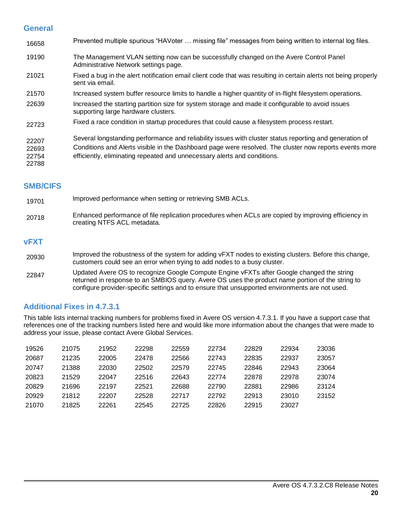#### **General**

| 16658                            | Prevented multiple spurious "HAVoter  missing file" messages from being written to internal log files.                                                                                                                                                                                        |
|----------------------------------|-----------------------------------------------------------------------------------------------------------------------------------------------------------------------------------------------------------------------------------------------------------------------------------------------|
| 19190                            | The Management VLAN setting now can be successfully changed on the Avere Control Panel<br>Administrative Network settings page.                                                                                                                                                               |
| 21021                            | Fixed a bug in the alert notification email client code that was resulting in certain alerts not being properly<br>sent via email.                                                                                                                                                            |
| 21570                            | Increased system buffer resource limits to handle a higher quantity of in-flight filesystem operations.                                                                                                                                                                                       |
| 22639                            | Increased the starting partition size for system storage and made it configurable to avoid issues<br>supporting large hardware clusters.                                                                                                                                                      |
| 22723                            | Fixed a race condition in startup procedures that could cause a filesystem process restart.                                                                                                                                                                                                   |
| 22207<br>22693<br>22754<br>22788 | Several longstanding performance and reliability issues with cluster status reporting and generation of<br>Conditions and Alerts visible in the Dashboard page were resolved. The cluster now reports events more<br>efficiently, eliminating repeated and unnecessary alerts and conditions. |

#### **SMB/CIFS**

| 19701       | Improved performance when setting or retrieving SMB ACLs.                                                                                                                         |
|-------------|-----------------------------------------------------------------------------------------------------------------------------------------------------------------------------------|
| 20718       | Enhanced performance of file replication procedures when ACLs are copied by improving efficiency in<br>creating NTFS ACL metadata.                                                |
| <b>vFXT</b> |                                                                                                                                                                                   |
| 20930       | Improved the robustness of the system for adding vFXT nodes to existing clusters. Before this change,<br>customers could see an error when trying to add nodes to a busy cluster. |

22847 Updated Avere OS to recognize Google Compute Engine vFXTs after Google changed the string returned in response to an SMBIOS query. Avere OS uses the product name portion of the string to configure provider-specific settings and to ensure that unsupported environments are not used.

#### **Additional Fixes in 4.7.3.1**

This table lists internal tracking numbers for problems fixed in Avere OS version 4.7.3.1. If you have a support case that references one of the tracking numbers listed here and would like more information about the changes that were made to address your issue, please contact Avere Global Services.

| 19526 | 21075 | 21952 | 22298 | 22559 | 22734 | 22829 | 22934 | 23036 |
|-------|-------|-------|-------|-------|-------|-------|-------|-------|
| 20687 | 21235 | 22005 | 22478 | 22566 | 22743 | 22835 | 22937 | 23057 |
| 20747 | 21388 | 22030 | 22502 | 22579 | 22745 | 22846 | 22943 | 23064 |
| 20823 | 21529 | 22047 | 22516 | 22643 | 22774 | 22878 | 22978 | 23074 |
| 20829 | 21696 | 22197 | 22521 | 22688 | 22790 | 22881 | 22986 | 23124 |
| 20929 | 21812 | 22207 | 22528 | 22717 | 22792 | 22913 | 23010 | 23152 |
| 21070 | 21825 | 22261 | 22545 | 22725 | 22826 | 22915 | 23027 |       |